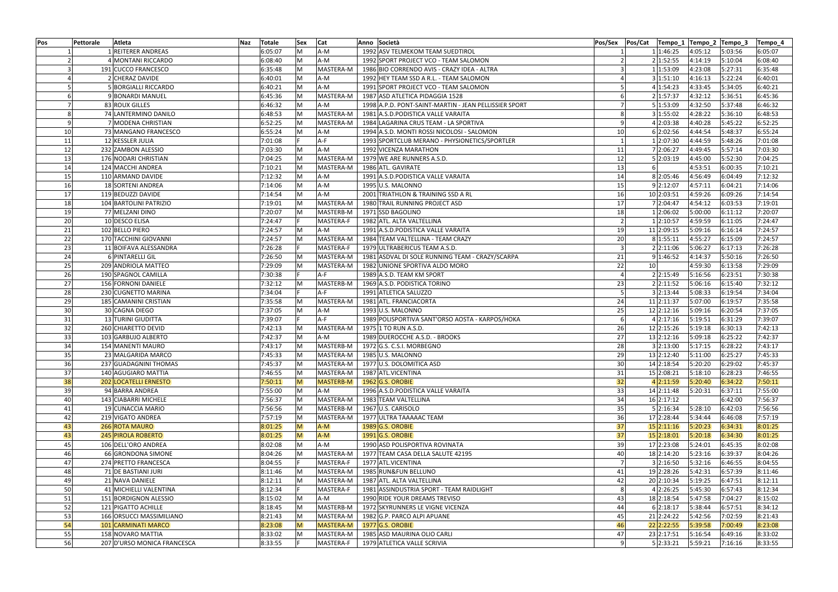| <b>Pos</b>      | Pettorale<br>Atleta                         | Naz | Totale             | <b>Sex</b>                                                                                                 | Cat                    | Anno Società                                          | Pos/Sex         | Pos/Cat                  |                    | Tempo_1 Tempo_2 Tempo_3 | Tempo_4            |
|-----------------|---------------------------------------------|-----|--------------------|------------------------------------------------------------------------------------------------------------|------------------------|-------------------------------------------------------|-----------------|--------------------------|--------------------|-------------------------|--------------------|
|                 | 1 REITERER ANDREAS                          |     | 6:05:07            | M                                                                                                          | A-M                    | 1992 ASV TELMEKOM TEAM SUEDTIROL                      |                 | 1 1:46:25                | 4:05:12            | 5:03:56                 | 6:05:07            |
|                 | 4 MONTANI RICCARDO                          |     | 6:08:40            | M                                                                                                          | A-M                    | 1992 SPORT PROJECT VCO - TEAM SALOMON                 |                 | 2 1:52:55                | 4:14:19            | 5:10:04                 | 6:08:40            |
|                 | 191 CUCCO FRANCESCO                         |     | 6:35:48            | M                                                                                                          | MASTERA-M              | 1986 BIO CORRENDO AVIS - CRAZY IDEA - ALTRA           |                 | 1 1:53:09                | 4:23:08            | 5:27:31                 | 6:35:48            |
|                 | 2 CHERAZ DAVIDE                             |     | 6:40:01            | M                                                                                                          | A-M                    | 1992 HEY TEAM SSD A R.L. - TEAM SALOMON               |                 | 3 1:51:10                | 4:16:13            | 5:22:24                 | 6:40:01            |
|                 | 5 BORGIALLI RICCARDO                        |     | 6:40:21            | M                                                                                                          | $A-M$                  | 1991 SPORT PROJECT VCO - TEAM SALOMON                 |                 | 4 1:54:23                | 4:33:45            | 5:34:05                 | 6:40:21            |
|                 | 9 BONARDI MANUEL                            |     | 6:45:36            | M                                                                                                          | MASTERA-M              | 1987 ASD ATLETICA PIDAGGIA 1528                       |                 | 2 1:57:37                | 4:32:12            | 5:36:51                 | 6:45:36            |
|                 | 83 ROUX GILLES                              |     | 6:46:32            | M                                                                                                          | A-M                    | 1998 A.P.D. PONT-SAINT-MARTIN - JEAN PELLISSIER SPORT |                 | 5 1:53:09                | 4:32:50            | 5:37:48                 | 6:46:32            |
|                 | 74 LANTERMINO DANILO                        |     | 6:48:53            | M                                                                                                          | MASTERA-M              | 1981 A.S.D. PODISTICA VALLE VARAITA                   |                 | 3 1:55:02                | 4:28:22            | 5:36:10                 | 6:48:53            |
|                 | 7 MODENA CHRISTIAN                          |     | 6:52:25            | M                                                                                                          | MASTERA-M              | 1984 LAGARINA CRUS TEAM - LA SPORTIVA                 | 9               | 4 2:03:38                | 4:40:28            | 5:45:22                 | 6:52:25            |
| 10              | 73 MANGANO FRANCESCO                        |     | 6:55:24            | M                                                                                                          | $A-M$                  | 1994 A.S.D. MONTI ROSSI NICOLOSI - SALOMON            | 10 <sup>1</sup> | 6 2:02:56                | 4:44:54            | 5:48:37                 | 6:55:24            |
| 11              | 12 KESSLER JULIA                            |     | 7:01:08            |                                                                                                            | A-F                    | 1993 SPORTCLUB MERANO - PHYSIONETICS/SPORTLER         |                 | 1 2:07:30                | 4:44:59            | 5:48:26                 | 7:01:08            |
| 12              | 232 ZAMBON ALESSIO                          |     | 7:03:30            | $\mathsf{M}% _{T}=\mathsf{M}_{T}\!\left( a,b\right) ,\ \mathsf{M}_{T}=\mathsf{M}_{T}\!\left( a,b\right) ,$ | $A-M$                  | 1992 VICENZA MARATHON                                 | 11              | 7 2:06:27                | 4:49:45            | 5:57:14                 | 7:03:30            |
| 13              | 176 NODARI CHRISTIAN                        |     | 7:04:25            | M                                                                                                          | MASTERA-M              | 1979 WE ARE RUNNERS A.S.D.                            | 12              | 5 2:03:19                | 4:45:00            | 5:52:30                 | 7:04:25            |
| 14              | 124 MACCHI ANDREA                           |     | 7:10:21            | M                                                                                                          | MASTERA-M              | 1986 ATL. GAVIRATE                                    | 13              | $6 \mid$                 | 4:53:51            | 6:00:35                 | 7:10:21            |
| 15              | 110 ARMAND DAVIDE                           |     | 7:12:32            | M                                                                                                          | A-M                    | 1991 A.S.D. PODISTICA VALLE VARAITA                   | 14              | 8 2:05:46                | 4:56:49            | 6:04:49                 | 7:12:32            |
| 16              | 18 SORTENI ANDREA                           |     | 7:14:06            | $\mathsf{M}% _{T}=\mathsf{M}_{T}\!\left( a,b\right) ,\ \mathsf{M}_{T}=\mathsf{M}_{T}\!\left( a,b\right) ,$ | A-M                    | 1995 U.S. MALONNO                                     | 15 <sup>2</sup> | 9 2:12:07                | 4:57:11            | 6:04:21                 | 7:14:06            |
| 17              | 119 BEDUZZI DAVIDE                          |     | 7:14:54            | M                                                                                                          | $A-M$                  | 2001 TRIATHLON & TRAINING SSD A RL                    | 16 <sup>1</sup> | 10 2:03:51               | 4:59:26            | 6:09:26                 | 7:14:54            |
| 18              | 104 BARTOLINI PATRIZIO                      |     | 7:19:01            | M                                                                                                          | MASTERA-M              | 1980 TRAIL RUNNING PROJECT ASD                        | 17 <sup>1</sup> | 7 2:04:47                | 4:54:12            | 6:03:53                 | 7:19:01            |
| 19              | 77 MELZANI DINO                             |     | 7:20:07            | M                                                                                                          | MASTERB-M              | 1971 SSD BAGOLINO                                     | 18              | 1 2:06:02                | 5:00:00            | 6:11:12                 | 7:20:07            |
| 20              | 10 DESCO ELISA                              |     | 7:24:47            |                                                                                                            | MASTERA-F              | 1982 ATL. ALTA VALTELLINA                             | 2               | 1 2:10:57                | 4:59:59            | 6:11:05                 | 7:24:47            |
| 21              | 102 BELLO PIERO                             |     | 7:24:57            | M                                                                                                          | $A-M$                  | 1991 A.S.D. PODISTICA VALLE VARAITA                   | 19              | 11 2:09:15               | 5:09:16            | 6:16:14                 | 7:24:57            |
| 22              | 170 TACCHINI GIOVANNI                       |     | 7:24:57            | M                                                                                                          | MASTERA-M              | 1984 TEAM VALTELLINA - TEAM CRAZY                     | 20 <sub>l</sub> | 8 1:55:11                | 4:55:27            | 6:15:09                 | 7:24:57            |
| 23              | 11 BOIFAVA ALESSANDRA                       |     | 7:26:28            |                                                                                                            | MASTERA-F              | 1979 ULTRABERICUS TEAM A.S.D.                         | 3               | 2 2:11:06                | 5:06:27            | 6:17:13                 | 7:26:28            |
| 24              | 6 PINTARELLI GIL                            |     | 7:26:50            | M                                                                                                          | MASTERA-M              | 1981 ASDVAL DI SOLE RUNNING TEAM - CRAZY/SCARPA       | 21              | 9 1:46:52                | 4:14:37            | 5:50:16                 | 7:26:50            |
| 25              | 209 ANDRIOLA MATTEO                         |     | 7:29:09            | M                                                                                                          | MASTERA-M              | 1982 UNIONE SPORTIVA ALDO MORO                        | 22              | 10 <sup>1</sup>          | 4:59:30            | 6:13:58                 | 7:29:09            |
| 26              | 190 SPAGNOL CAMILLA                         |     | 7:30:38            |                                                                                                            | $A-F$                  | 1989 A.S.D. TEAM KM SPORT                             |                 | 2 2:15:49                | 5:16:56            | 6:23:51                 | 7:30:38            |
| 27              | 156 FORNONI DANIELE                         |     | 7:32:12            | M                                                                                                          | MASTERB-M              | 1969 A.S.D. PODISTICA TORINO                          | 23              | 2 2:11:52                | 5:06:16            | 6:15:40                 | 7:32:12            |
| 28              | 230 CUGNETTO MARINA                         |     | 7:34:04            |                                                                                                            | $A-F$                  | 1991 ATLETICA SALUZZO                                 |                 | 3 2:13:44                | 5:08:33            | 6:19:54                 | 7:34:04            |
| 29              | 185 CAMANINI CRISTIAN                       |     | 7:35:58            | $\mathsf{M}% _{T}=\mathsf{M}_{T}\!\left( a,b\right) ,\ \mathsf{M}_{T}=\mathsf{M}_{T}\!\left( a,b\right) ,$ | MASTERA-M              | 1981 ATL. FRANCIACORTA                                | 24              | 11 2:11:37               | 5:07:00            | 6:19:57                 | 7:35:58            |
| 30              | 30 CAGNA DIEGO                              |     | 7:37:05            | M                                                                                                          | $A-M$                  | 1993 U.S. MALONNO                                     | 25              | 12 2:12:16               | 5:09:16            | 6:20:54                 | 7:37:05            |
| 31              | 13 TURINI GIUDITTA                          |     | 7:39:07            |                                                                                                            | $A-F$                  | 1989 POLISPORTIVA SANT'ORSO AOSTA - KARPOS/HOKA       |                 | 4 2:17:16                | 5:19:51            | 6:31:29                 | 7:39:07            |
| 32              | 260 CHIARETTO DEVID                         |     | 7:42:13            | M                                                                                                          | MASTERA-M              | 1975 1 TO RUN A.S.D.                                  | 26              | 12 2:15:26               | 5:19:18            | 6:30:13                 | 7:42:13            |
| 33              | 103 GARBUJO ALBERTO                         |     | 7:42:37            | M                                                                                                          | A-M                    | 1989 DUEROCCHE A.S.D. - BROOKS                        | 27 <sup>1</sup> | 13 2:12:16               | 5:09:18            | 6:25:22                 | 7:42:37            |
| 34              | 154 MANENTI MAURO                           |     | 7:43:17            | M                                                                                                          | MASTERB-M              | 1972 G.S. C.S.I. MORBEGNO                             | 28              | 3 2:13:00                | 5:17:15            | 6:28:22                 | 7:43:17            |
| 35 <sub>l</sub> | 23 MALGARIDA MARCO<br>237 GUADAGNINI THOMAS |     | 7:45:33<br>7:45:37 | M<br>M                                                                                                     | MASTERA-M<br>MASTERA-M | 1985 U.S. MALONNO                                     | <b>29</b>       | 13 2:12:40<br>14 2:18:54 | 5:11:00<br>5:20:20 | 6:25:27                 | 7:45:33<br>7:45:37 |
| 36<br>37        | 140 AGUGIARO MATTIA                         |     | 7:46:55            | M                                                                                                          | MASTERA-M              | 1977 U.S. DOLOMITICA ASD<br>1987 ATL.VICENTINA        | 30<br>31        | 15 2:08:21               | 5:18:10            | 6:29:02<br>6:28:23      | 7:46:55            |
| 38              | 202 LOCATELLI ERNESTO                       |     | 7:50:11            | M                                                                                                          | <b>MASTERB-M</b>       | $1962$ G.S. OROBIE                                    | 32              | 4 2:11:59                | 5:20:40            | 6:34:22                 | 7:50:11            |
| 39              | 94 BARRA ANDREA                             |     | 7:55:00            | M                                                                                                          | A-M                    | 1996 A.S.D. PODISTICA VALLE VARAITA                   | 33              | 14 2:11:48               | 5:20:31            | 6:37:11                 | 7:55:00            |
| 40              | 143 CIABARRI MICHELE                        |     | 7:56:37            | M                                                                                                          | MASTERA-M              | 1983 TEAM VALTELLINA                                  | 34              | 16 2:17:12               |                    | 6:42:00                 | 7:56:37            |
| 41              | 19 CUNACCIA MARIO                           |     | 7:56:56            | M                                                                                                          | MASTERB-M              | 1967 U.S. CARISOLO                                    | 35              | 5 2:16:34                | 5:28:10            | 6:42:03                 | 7:56:56            |
| 42              | 219 VIGATO ANDREA                           |     | 7:57:19            | M                                                                                                          | MASTERA-M              | 1977 ULTRA TAAAAAC TEAM                               | 36              | 17 2:28:44               | 5:34:44            | 6:46:08                 | 7:57:19            |
| 43              | 266 ROTA MAURO                              |     | 8:01:25            | M                                                                                                          | $A-M$                  | $1989$ G.S. OROBIE                                    | 37              | 15 2:11:16               | 5:20:23            | 6:34:31                 | 8:01:25            |
| 43              | 245 PIROLA ROBERTO                          |     | 8:01:25            | M                                                                                                          | $A-M$                  | $1991$ G.S. OROBIE                                    | 37              | 15 2:18:01               | 5:20:18            | 6:34:30                 | 8:01:25            |
| 45              | 106 DELL'ORO ANDREA                         |     | 8:02:08            | M                                                                                                          | A-M                    | 1990 ASD POLISPORTIVA ROVINATA                        | 39              | 17 2:23:08               | 5:24:01            | 6:45:35                 | 8:02:08            |
| 46              | 66 GRONDONA SIMONE                          |     | 8:04:26            | M                                                                                                          | MASTERA-M              | 1977 TEAM CASA DELLA SALUTE 42195                     | 40              | 18 2:14:20               | 5:23:16            | 6:39:37                 | 8:04:26            |
| 47              | 274 PRETTO FRANCESCA                        |     | 8:04:55            |                                                                                                            | MASTERA-F              | 1977 ATL.VICENTINA                                    | $\overline{7}$  | 3 2:16:50                | 5:32:16            | 6:46:55                 | 8:04:55            |
| 48              | 71 DE BASTIANI JURI                         |     | 8:11:46            | M                                                                                                          | MASTERA-M              | 1985 RUN&FUN BELLUNO                                  | 41              | 19 2:28:26               | 5:42:31            | 6:57:39                 | 8:11:46            |
| 49              | 21 NAVA DANIELE                             |     | 8:12:11            | M                                                                                                          | MASTERA-M              | 1987 ATL. ALTA VALTELLINA                             | 42              | 20 2:10:34               | 5:19:25            | 6:47:51                 | 8:12:11            |
| 50              | 41 MICHIELLI VALENTINA                      |     | 8:12:34            |                                                                                                            | MASTERA-F              | 1981 ASSINDUSTRIA SPORT - TEAM RAIDLIGHT              | 8               | 4 2:26:25                | 5:45:30            | 6:57:43                 | 8:12:34            |
| 51              | 151 BORDIGNON ALESSIO                       |     | 8:15:02            | M                                                                                                          | A-M                    | 1990 RIDE YOUR DREAMS TREVISO                         | 43              | 18 2:18:54               | 5:47:58            | 7:04:27                 | 8:15:02            |
| 52              | 121 PIGATTO ACHILLE                         |     | 8:18:45            | M                                                                                                          | MASTERB-M              | 1972 SKYRUNNERS LE VIGNE VICENZA                      | 44              | 6 2:18:17                | 5:38:44            | 6:57:51                 | 8:34:12            |
| 53              | 166 ORSUCCI MASSIMILIANO                    |     | 8:21:43            | M                                                                                                          | MASTERA-M              | 1982 G.P. PARCO ALPI APUANE                           | 45              | 21 2:24:22               | 5:42:56            | 7:02:59                 | 8:21:43            |
| 54              | 101 CARMINATI MARCO                         |     | 8:23:08            | M                                                                                                          | <b>MASTERA-M</b>       | $1977$ G.S. OROBIE                                    | 46              | 22 2:22:55               | 5:39:58            | 7:00:49                 | 8:23:08            |
| 55              | 158 NOVARO MATTIA                           |     | 8:33:02            | M                                                                                                          | MASTERA-M              | 1985 ASD MAURINA OLIO CARLI                           | 47              | 23 2:17:51               | 5:16:54            | 6:49:16                 | 8:33:02            |
| 56              | 207 D'URSO MONICA FRANCESCA                 |     | 8:33:55            |                                                                                                            | MASTERA-F              | 1979 ATLETICA VALLE SCRIVIA                           | 9 <sup>1</sup>  | 5 2:33:21                | 5:59:21            | 7:16:16                 | 8:33:55            |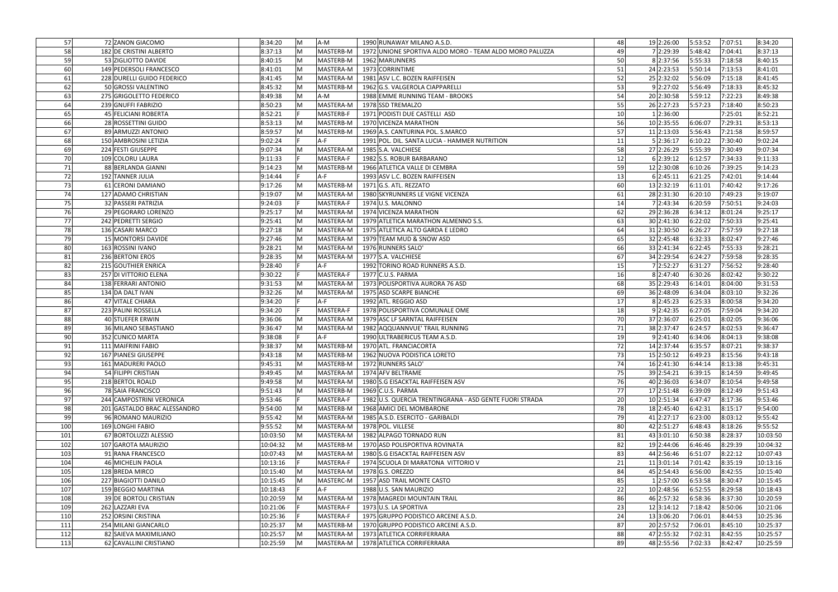| 57  | 72 ZANON GIACOMO              | 8:34:20  | M | A-M       | 1990 RUNAWAY MILANO A.S.D.                              | 48              | 19 2:26:00 | 5:53:52 | 7:07:51 | 8:34:20  |
|-----|-------------------------------|----------|---|-----------|---------------------------------------------------------|-----------------|------------|---------|---------|----------|
| 58  | 182 DE CRISTINI ALBERTO       | 8:37:13  | M | MASTERB-M | 1972 UNIONE SPORTIVA ALDO MORO - TEAM ALDO MORO PALUZZA | 49              | 7 2:29:39  | 5:48:42 | 7:04:41 | 8:37:13  |
| 59  | 53 ZIGLIOTTO DAVIDE           | 8:40:15  | M | MASTERB-M | 1962 MARUNNERS                                          | 50              | 8 2:37:56  | 5:55:33 | 7:18:58 | 8:40:15  |
|     |                               |          | M |           |                                                         |                 |            |         |         |          |
| 60  | 149 PEDERSOLI FRANCESCO       | 8:41:01  |   | MASTERA-M | 1973 CORRINTIME                                         | 51              | 24 2:23:53 | 5:50:14 | 7:13:53 | 8:41:01  |
| 61  | 228 DURELLI GUIDO FEDERICO    | 8:41:45  | M | MASTERA-M | 1981 ASV L.C. BOZEN RAIFFEISEN                          | 52              | 25 2:32:02 | 5:56:09 | 7:15:18 | 8:41:45  |
| 62  | 50 GROSSI VALENTINO           | 8:45:32  | M | MASTERB-M | 1962 G.S. VALGEROLA CIAPPARELLI                         | 53              | 9 2:27:02  | 5:56:49 | 7:18:33 | 8:45:32  |
| 63  | 275 GRIGOLETTO FEDERICO       | 8:49:38  | M | A-M       | 1988 EMME RUNNING TEAM - BROOKS                         | 54              | 20 2:30:58 | 5:59:12 | 7:22:23 | 8:49:38  |
| 64  | 239 GNUFFI FABRIZIO           | 8:50:23  | M | MASTERA-M | 1978 SSD TREMALZO                                       | 55              | 26 2:27:23 | 5:57:23 | 7:18:40 | 8:50:23  |
| 65  | 45 FELICIANI ROBERTA          | 8:52:21  |   | MASTERB-F | 1971 PODISTI DUE CASTELLI ASD                           | 10 <sup>1</sup> | 1 2:36:00  |         | 7:25:01 | 8:52:21  |
| 66  | 28 ROSSETTINI GUIDO           | 8:53:13  | M | MASTERB-M | 1970 VICENZA MARATHON                                   | 56              | 10 2:35:55 | 6:06:07 | 7:29:31 | 8:53:13  |
| 67  | 89 ARMUZZI ANTONIO            | 8:59:57  | M | MASTERB-M | 1969 A.S. CANTURINA POL. S.MARCO                        | 57 <sup>1</sup> | 11 2:13:03 | 5:56:43 | 7:21:58 | 8:59:57  |
| 68  | 150 AMBROSINI LETIZIA         | 9:02:24  |   | $A-F$     | 1991 POL. DIL. SANTA LUCIA - HAMMER NUTRITION           | 11              | 5 2:36:17  | 6:10:22 | 7:30:40 | 9:02:24  |
| 69  | 224 FESTI GIUSEPPE            | 9:07:34  | M | MASTERA-M | 1985 S.A. VALCHIESE                                     | 58              | 27 2:26:29 | 5:55:39 | 7:30:49 | 9:07:34  |
| 70  | 109 COLORU LAURA              | 9:11:33  |   | MASTERA-F | 1982 S.S. ROBUR BARBARANO                               | 12              | 6 2:39:12  | 6:12:57 | 7:34:33 | 9:11:33  |
| 71  | 88 BERLANDA GIANNI            | 9:14:23  | M | MASTERB-M | 1966 ATLETICA VALLE DI CEMBRA                           | 59              | 12 2:30:08 | 6:10:26 | 7:39:25 | 9:14:23  |
| 72  | 192 TANNER JULIA              | 9:14:44  |   | $A-F$     | 1993 ASV L.C. BOZEN RAIFFEISEN                          | 13 <sup>1</sup> | 6 2:45:11  | 6:21:25 | 7:42:01 | 9:14:44  |
| 73  | 61 CERONI DAMIANO             | 9:17:26  | M | MASTERB-M | $1971$ G.S. ATL. REZZATO                                | 60              | 13 2:32:19 | 6:11:01 | 7:40:42 | 9:17:26  |
| 74  | 127 ADAMO CHRISTIAN           | 9:19:07  | M | MASTERA-M | 1980 SKYRUNNERS LE VIGNE VICENZA                        | 61              | 28 2:31:30 | 6:20:10 | 7:49:23 | 9:19:07  |
| 75  | 32 PASSERI PATRIZIA           | 9:24:03  | F | MASTERA-F | 1974 U.S. MALONNO                                       | 14              | 7 2:43:34  | 6:20:59 | 7:50:51 | 9:24:03  |
| 76  | 29 PEGORARO LORENZO           | 9:25:17  | M | MASTERA-M | 1974 VICENZA MARATHON                                   | 62              | 29 2:36:28 | 6:34:12 | 8:01:24 | 9:25:17  |
| 77  | 242 PEDRETTI SERGIO           | 9:25:41  | M | MASTERA-M | 1979 ATLETICA MARATHON ALMENNO S.S.                     | 63              | 30 2:41:30 | 6:22:02 | 7:50:33 | 9:25:41  |
|     | 136 CASARI MARCO              | 9:27:18  | M | MASTERA-M | 1975 ATLETICA ALTO GARDA E LEDRO                        | 64              | 31 2:30:50 | 6:26:27 | 7:57:59 | 9:27:18  |
| 78  |                               |          |   | MASTERA-M |                                                         |                 |            |         |         |          |
| 79  | 15 MONTORSI DAVIDE            | 9:27:46  | M |           | 1979 TEAM MUD & SNOW ASD                                | 65              | 32 2:45:48 | 6:32:33 | 8:02:47 | 9:27:46  |
| 80  | 163 ROSSINI IVANO             | 9:28:21  | M | MASTERA-M | 1976 RUNNERS SALO'                                      | 66              | 33 2:41:34 | 6:22:45 | 7:55:33 | 9:28:21  |
| 81  | 236 BERTONI EROS              | 9:28:35  | M | MASTERA-M | 1977 S.A. VALCHIESE                                     | <b>67</b>       | 34 2:29:54 | 6:24:27 | 7:59:58 | 9:28:35  |
| 82  | 215 GOUTHIER ENRICA           | 9:28:40  |   | $A-F$     | 1992 TORINO ROAD RUNNERS A.S.D.                         | 15 <sub>l</sub> | 7 2:52:27  | 6:31:27 | 7:56:52 | 9:28:40  |
| 83  | 257 DI VITTORIO ELENA         | 9:30:22  |   | MASTERA-F | 1977 C.U.S. PARMA                                       | 16              | 8 2:47:40  | 6:30:26 | 8:02:42 | 9:30:22  |
| 84  | 138 FERRARI ANTONIO           | 9:31:53  | M | MASTERA-M | 1973 POLISPORTIVA AURORA 76 ASD                         | 68              | 35 2:29:43 | 6:14:01 | 8:04:00 | 9:31:53  |
| 85  | 134 DA DALT IVAN              | 9:32:26  | M | MASTERA-M | 1975 ASD SCARPE BIANCHE                                 | 69              | 36 2:48:09 | 6:34:04 | 8:03:10 | 9:32:26  |
| 86  | 47 VITALE CHIARA              | 9:34:20  |   | $A-F$     | 1992 ATL. REGGIO ASD                                    | 17 <sup>1</sup> | 8 2:45:23  | 6:25:33 | 8:00:58 | 9:34:20  |
| 87  | 223 PALINI ROSSELLA           | 9:34:20  |   | MASTERA-F | 1978 POLISPORTIVA COMUNALE OME                          | 18              | 9 2:42:35  | 6:27:05 | 7:59:04 | 9:34:20  |
| 88  | 40 STUEFER ERWIN              | 9:36:06  | M | MASTERA-M | 1979 ASC LF SARNTAL RAIFFEISEN                          | 70              | 37 2:36:07 | 6:25:01 | 8:02:05 | 9:36:06  |
| 89  | 36 MILANO SEBASTIANO          | 9:36:47  | M | MASTERA-M | 1982 AQQUANNVUE' TRAIL RUNNING                          | 71              | 38 2:37:47 | 6:24:57 | 8:02:53 | 9:36:47  |
| 90  | 352 CUNICO MARTA              | 9:38:08  |   | $A-F$     | 1990 ULTRABERICUS TEAM A.S.D.                           | 19              | 9 2:41:40  | 6:34:06 | 8:04:13 | 9:38:08  |
| 91  | 111 MAIFRINI FABIO            | 9:38:37  | M | MASTERB-M | 1970 ATL. FRANCIACORTA                                  | 72              | 14 2:37:44 | 6:35:57 | 8:07:21 | 9:38:37  |
| 92  | 167 PIANESI GIUSEPPE          | 9:43:18  | M | MASTERB-M | 1962 NUOVA PODISTICA LORETO                             | 73              | 15 2:50:12 | 6:49:23 | 8:15:56 | 9:43:18  |
| 93  | 161 MADURERI PAOLO            | 9:45:31  | M | MASTERB-M | 1972 RUNNERS SALO'                                      | 74              | 16 2:41:30 | 6:44:14 | 8:13:38 | 9:45:31  |
| 94  | 54 FILIPPI CRISTIAN           | 9:49:45  | M | MASTERA-M | 1974 AFV BELTRAME                                       | 75              | 39 2:54:21 | 6:39:15 | 8:14:59 | 9:49:45  |
| 95  | 218 BERTOL ROALD              | 9:49:58  | M | MASTERA-M | 1980 S.G EISACKTAL RAIFFEISEN ASV                       | 76              | 40 2:36:03 | 6:34:07 | 8:10:54 | 9:49:58  |
| 96  | 78 SAIA FRANCISCO             | 9:51:43  | M | MASTERB-M | 1969 C.U.S. PARMA                                       | 77              | 17 2:51:48 | 6:39:09 | 8:12:49 | 9:51:43  |
| 97  | 244 CAMPOSTRINI VERONICA      | 9:53:46  |   | MASTERA-F | 1982 U.S. QUERCIA TRENTINGRANA - ASD GENTE FUORI STRADA | 20              | 10 2:51:34 | 6:47:47 | 8:17:36 | 9:53:46  |
| 98  | 201 GASTALDO BRAC ALESSANDRO  | 9:54:00  | M | MASTERB-M | 1968 AMICI DEL MOMBARONE                                | 78              | 18 2:45:40 | 6:42:31 | 8:15:17 | 9:54:00  |
| 99  | 96 ROMANO MAURIZIO            | 9:55:42  | M | MASTERA-M | 1985 A.S.D. ESERCITO - GARIBALDI                        | 79              | 41 2:27:17 | 6:23:00 | 8:03:12 | 9:55:42  |
| 100 | 169 LONGHI FABIO              | 9:55:52  | M | MASTERA-M | 1978 POL. VILLESE                                       | 80              | 42 2:51:27 | 6:48:43 | 8:18:26 | 9:55:52  |
| 101 | 67 BORTOLUZZI ALESSIO         | 10:03:50 | M | MASTERA-M | 1982 ALPAGO TORNADO RUN                                 | 81              | 43 3:01:10 | 6:50:38 | 8:28:37 | 10:03:50 |
| 102 | 107 GAROTA MAURIZIO           | 10:04:32 | M | MASTERB-M | 1970 ASD POLISPORTIVA ROVINATA                          | 82              | 19 2:44:06 | 6:46:46 | 8:29:39 | 10:04:32 |
| 103 | 91 RANA FRANCESCO             | 10:07:43 | M | MASTERA-M | 1980 S.G EISACKTAL RAIFFEISEN ASV                       | 83              | 44 2:56:46 | 6:51:07 | 8:22:12 | 10:07:43 |
| 104 | 46 MICHELIN PAOLA             | 10:13:16 |   | MASTERA-F | 1974 SCUOLA DI MARATONA VITTORIO V                      | 21              | 11 3:01:14 | 7:01:42 | 8:35:19 | 10:13:16 |
| 105 | 128 BREDA MIRCO               | 10:15:40 | M | MASTERA-M | 1978 G.S. OREZZO                                        | 84              | 45 2:54:43 | 6:56:00 | 8:42:55 | 10:15:40 |
| 106 | 227 BIAGIOTTI DANILO          | 10:15:45 | M | MASTERC-M | 1957 ASD TRAIL MONTE CASTO                              | 85              | 1 2:57:00  | 6:53:58 | 8:30:47 | 10:15:45 |
| 107 | 159 BEGGIO MARTINA            | 10:18:43 |   | $A-F$     | 1988 U.S. SAN MAURIZIO                                  | 22              | 10 2:48:56 | 6:52:55 | 8:29:58 | 10:18:43 |
| 108 | <b>39 DE BORTOLI CRISTIAN</b> | 10:20:59 | M | MASTERA-M | 1978 MAGREDI MOUNTAIN TRAIL                             | 86              | 46 2:57:32 | 6:58:36 | 8:37:30 | 10:20:59 |
| 109 | 262 LAZZARI EVA               | 10:21:06 |   | MASTERA-F | 1973 U.S. LA SPORTIVA                                   | 23              | 12 3:14:12 | 7:18:42 | 8:50:06 | 10:21:06 |
| 110 | 252 ORSINI CRISTINA           | 10:25:36 |   | MASTERA-F | 1975 GRUPPO PODISTICO ARCENE A.S.D.                     | 24              | 13 3:06:20 | 7:06:01 | 8:44:53 | 10:25:36 |
| 111 | 254 MILANI GIANCARLO          | 10:25:37 | M | MASTERB-M | 1970 GRUPPO PODISTICO ARCENE A.S.D.                     | 87              | 20 2:57:52 | 7:06:01 | 8:45:10 | 10:25:37 |
| 112 |                               |          |   |           |                                                         |                 | 47 2:55:32 |         |         |          |
|     | 82 SAIEVA MAXIMILIANO         | 10:25:57 | M | MASTERA-M | 1973 ATLETICA CORRIFERRARA                              | 88              |            | 7:02:31 | 8:42:55 | 10:25:57 |
| 113 | 62 CAVALLINI CRISTIANO        | 10:25:59 | M | MASTERA-M | 1978 ATLETICA CORRIFERRARA                              | 89              | 48 2:55:56 | 7:02:33 | 8:42:47 | 10:25:59 |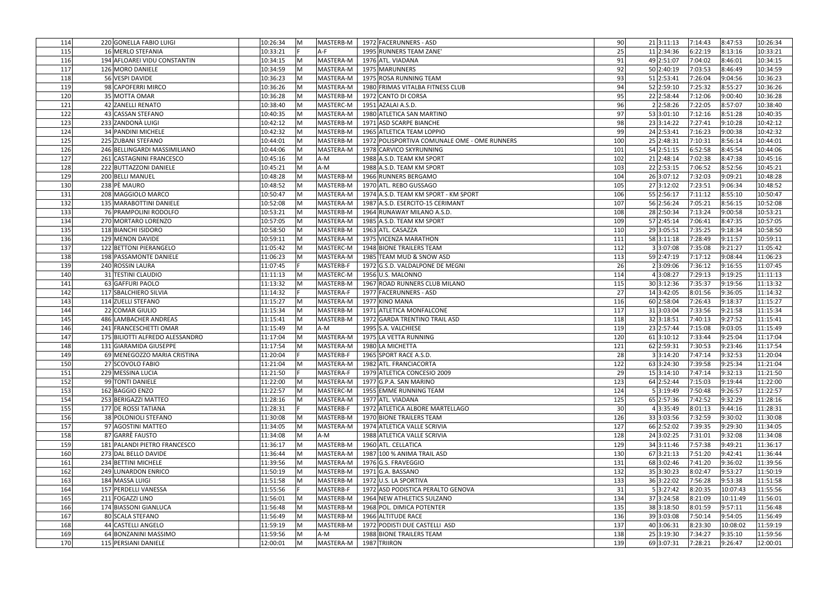| 114        | 220 GONELLA FABIO LUIGI         | 10:26:34             | M      | MASTERB-M | 1972 FACERUNNERS - ASD                       | 90              | 21 3:11:13              | 7:14:43 | 8:47:53            | 10:26:34             |
|------------|---------------------------------|----------------------|--------|-----------|----------------------------------------------|-----------------|-------------------------|---------|--------------------|----------------------|
| 115        | 16 MERLO STEFANIA               | 10:33:21             |        | $A-F$     | 1995 RUNNERS TEAM ZANE'                      | 25              | 11 2:34:36              | 6:22:19 | 8:13:16            | 10:33:21             |
| 116        | 194 AFLOAREI VIDU CONSTANTIN    | 10:34:15             | M      | MASTERA-M | 1976 ATL. VIADANA                            | 91              | 49 2:51:07              | 7:04:02 | 8:46:01            | 10:34:15             |
| 117        | 126 MORO DANIELE                | 10:34:59             | M      | MASTERA-M | 1975 MARUNNERS                               | 92              | 50 2:40:19              | 7:03:53 | 8:46:49            | 10:34:59             |
| 118        | 56 VESPI DAVIDE                 | 10:36:23             | M      | MASTERA-M | 1975 ROSA RUNNING TEAM                       | 93              | 51 2:53:41              | 7:26:04 | 9:04:56            | 10:36:23             |
| 119        | 98 CAPOFERRI MIRCO              | 10:36:26             | M      | MASTERA-M | 1980 FRIMAS VITALBA FITNESS CLUB             | 94              | 52 2:59:10              | 7:25:32 | 8:55:27            | 10:36:26             |
| 120        | 35 MOTTA OMAR                   | 10:36:28             | M      | MASTERB-M | 1972 CANTO DI CORSA                          | 95              | 22 2:58:44              | 7:12:06 | 9:00:40            | 10:36:28             |
| 121        | 42 ZANELLI RENATO               | 10:38:40             | M      | MASTERC-M | 1951 AZALAI A.S.D.                           | 96              | 2 2:58:26               | 7:22:05 | 8:57:07            | 10:38:40             |
|            |                                 |                      |        |           |                                              |                 |                         |         |                    |                      |
| 122        | 43 CASSAN STEFANO               | 10:40:35             | M      | MASTERA-M | 1980 ATLETICA SAN MARTINO                    | 97              | 53 3:01:10              | 7:12:16 | 8:51:28            | 10:40:35             |
| 123        | 233 ZANDONÀ LUIGI               | 10:42:12             | M      | MASTERB-M | 1971 ASD SCARPE BIANCHE                      | 98              | 23 3:14:22              | 7:27:41 | 9:10:28            | 10:42:12             |
| 124        | 34 PANDINI MICHELE              | 10:42:32             | M      | MASTERB-M | 1965 ATLETICA TEAM LOPPIO                    | 99              | 24 2:53:41              | 7:16:23 | 9:00:38            | 10:42:32             |
| 125        | 225 ZUBANI STEFANO              | 10:44:01             | M      | MASTERB-M | 1972 POLISPORTIVA COMUNALE OME - OME RUNNERS | 100             | 25 2:48:31              | 7:10:31 | 8:56:14            | 10:44:01             |
| 126        | 246 BELLINGARDI MASSIMILIANO    | 10:44:06             | M      | MASTERA-M | 1978 CARVICO SKYRUNNING                      | 101             | 54 2:51:15              | 6:52:58 | 8:45:54            | 10:44:06             |
| 127        | 261 CASTAGNINI FRANCESCO        | 10:45:16             | M      | $A-M$     | 1988 A.S.D. TEAM KM SPORT                    | 102             | 21 2:48:14              | 7:02:38 | 8:47:38            | 10:45:16             |
| 128        | 222 BUTTAZZONI DANIELE          | 10:45:21             | M      | A-M       | 1988 A.S.D. TEAM KM SPORT                    | 103             | 22 2:53:15              | 7:06:52 | 8:52:56            | 10:45:21             |
| 129        | 200 BELLI MANUEL                | 10:48:28             | M      | MASTERB-M | 1966 RUNNERS BERGAMO                         | 104             | 26 3:07:12              | 7:32:03 | 9:09:21            | 10:48:28             |
| 130        | 238 PÈ MAURO                    | 10:48:52             | M      | MASTERB-M | 1970 ATL. REBO GUSSAGO                       | 105             | 27 3:12:02              | 7:23:51 | 9:06:34            | 10:48:52             |
| 131        | 208 MAGGIOLO MARCO              | 10:50:47             | M      | MASTERA-M | 1974 A.S.D. TEAM KM SPORT - KM SPORT         | 106             | 55 2:56:17              | 7:11:12 | 8:55:10            | 10:50:47             |
| 132        | 135 MARABOTTINI DANIELE         | 10:52:08             | M      | MASTERA-M | 1987 A.S.D. ESERCITO-15 CERIMANT             | 107             | 56 2:56:24              | 7:05:21 | 8:56:15            | 10:52:08             |
| 133        | 76 PRAMPOLINI RODOLFO           | 10:53:21             | M      | MASTERB-M | 1964 RUNAWAY MILANO A.S.D.                   | 108             | 28 2:50:34              | 7:13:24 | 9:00:58            | 10:53:21             |
| 134        | 270 MORTARO LORENZO             | 10:57:05             | M      | MASTERA-M | 1985 A.S.D. TEAM KM SPORT                    | 109             | 57 2:45:14              | 7:06:41 | 8:47:35            | 10:57:05             |
| 135        | 118 BIANCHI ISIDORO             | 10:58:50             | M      | MASTERB-M | 1963 ATL. CASAZZA                            | 110             | 29 3:05:51              | 7:35:25 | 9:18:34            | 10:58:50             |
| 136        | 129 MENON DAVIDE                | 10:59:11             | M      | MASTERA-M | 1975 VICENZA MARATHON                        | 111             | 58 3:11:18              | 7:28:49 | 9:11:57            | 10:59:11             |
| 137        | 122 BETTONI PIERANGELO          | 11:05:42             | M      | MASTERC-M | 1948 BIONE TRAILERS TEAM                     | 112             | 3 3:07:08               | 7:35:08 | 9:21:27            | 11:05:42             |
| 138        | 198 PASSAMONTE DANIELE          | 11:06:23             | M      | MASTERA-M | 1985 TEAM MUD & SNOW ASD                     | 113             | 59 2:47:19              | 7:17:12 | 9:08:44            | 11:06:23             |
| 139        | 240 ROSSIN LAURA                | 11:07:45             |        | MASTERB-F | 1972 G.S.D. VALDALPONE DE MEGNI              | 26              | 2 3:09:06               | 7:36:12 | 9:16:55            | 11:07:45             |
| 140        | 31 TESTINI CLAUDIO              | 11:11:13             | M      | MASTERC-M | 1956 U.S. MALONNO                            | 114             | 4 3:08:27               | 7:29:13 | 9:19:25            | 11:11:13             |
| 141        | 63 GAFFURI PAOLO                | 11:13:32             | M      | MASTERB-M | 1967 ROAD RUNNERS CLUB MILANO                | 115             | 30 3:12:36              | 7:35:37 | 9:19:56            | 11:13:32             |
| 142        | 117 SBALCHIERO SILVIA           | 11:14:32             |        | MASTERA-F | 1977 FACERUNNERS - ASD                       | 27              | 14 3:42:05              | 8:01:56 | 9:36:05            | 11:14:32             |
| 143        | 114 ZUELLI STEFANO              | 11:15:27             | M      | MASTERA-M | 1977 KINO MANA                               | 116             | 60 2:58:04              | 7:26:43 | 9:18:37            | 11:15:27             |
| 144        | 22 COMAR GIULIO                 | 11:15:34             | M      | MASTERB-M | 1971 ATLETICA MONFALCONE                     | 117             | 31 3:03:04              | 7:33:56 | 9:21:58            | 11:15:34             |
| 145        | 486 LAMBACHER ANDREAS           | 11:15:41             | M      | MASTERB-M | 1972 GARDA TRENTINO TRAIL ASD                | 118             | 32 3:18:51              | 7:40:13 | 9:27:52            | 11:15:41             |
| 146        | 241 FRANCESCHETTI OMAR          | 11:15:49             | M      | A-M       | 1995 S.A. VALCHIESE                          | 119             | 23 2:57:44              | 7:15:08 | 9:03:05            | 11:15:49             |
| 147        | 175 BILIOTTI ALFREDO ALESSANDRO | 11:17:04             | M      | MASTERA-M | 1975 LA VETTA RUNNING                        | 120             | 61 3:10:12              | 7:33:44 | 9:25:04            | 11:17:04             |
| 148        | 131 GIARAMIDA GIUSEPPE          | 11:17:54             | M      | MASTERA-M | 1980 LA MICHETTA                             | 121             | 62 2:59:31              | 7:30:53 | 9:23:46            | 11:17:54             |
| 149        | 69 MENEGOZZO MARIA CRISTINA     | 11:20:04             |        | MASTERB-F | 1965 SPORT RACE A.S.D.                       | 28              | 3 3:14:20               | 7:47:14 | 9:32:53            | 11:20:04             |
| 150        | 27 SCOVOLO FABIO                | 11:21:04             | M      | MASTERA-M | 1982 ATL. FRANCIACORTA                       | 122             | 63 3:24:30              | 7:39:58 | 9:25:34            | 11:21:04             |
| 151        | 229 MESSINA LUCIA               | 11:21:50             |        | MASTERA-F | 1979 ATLETICA CONCESIO 2009                  | 29              | 15 3:14:10              | 7:47:14 | 9:32:13            | 11:21:50             |
| 152        | 99 TONTI DANIELE                | 11:22:00             | M      | MASTERA-M | 1977 G.P.A. SAN MARINO                       | 123             | 64 2:52:44              | 7:15:03 | 9:19:44            | 11:22:00             |
|            |                                 |                      |        |           |                                              |                 |                         |         |                    |                      |
| 153<br>154 | 162 BAGGIO ENZO                 | 11:22:57<br>11:28:16 | M<br>M | MASTERC-M | 1955 EMME RUNNING TEAM<br>1977 ATL. VIADANA  | 124             | 5 3:19:49<br>65 2:57:36 | 7:50:48 | 9:26:57<br>9:32:29 | 11:22:57<br>11:28:16 |
|            | 253 BERIGAZZI MATTEO            |                      |        | MASTERA-M |                                              | 125             |                         | 7:42:52 |                    |                      |
| 155        | 177 DE ROSSI TATIANA            | 11:28:31             |        | MASTERB-F | 1972 ATLETICA ALBORE MARTELLAGO              | 30 <sup>1</sup> | 4 3:35:49               | 8:01:13 | 9:44:16            | 11:28:31             |
| 156        | 38 POLONIOLI STEFANO            | 11:30:08             | M      | MASTERB-M | 1970 BIONE TRAILERS TEAM                     | 126             | 33 3:03:56              | 7:32:59 | 9:30:02            | 11:30:08             |
| 157        | 97 AGOSTINI MATTEO              | 11:34:05             | M      | MASTERA-M | 1974 ATLETICA VALLE SCRIVIA                  | 127             | 66 2:52:02              | 7:39:35 | 9:29:30            | 11:34:05             |
| 158        | 87 GARRÈ FAUSTO                 | 11:34:08             | M      | A-M       | 1988 ATLETICA VALLE SCRIVIA                  | 128             | 24 3:02:25              | 7:31:01 | 9:32:08            | 11:34:08             |
| 159        | 181 PALANDI PIETRO FRANCESCO    | 11:36:17             | M      | MASTERB-M | 1960 ATL. CELLATICA                          | 129             | 34 3:11:46              | 7:57:38 | 9:49:21            | 11:36:17             |
| 160        | 273 DAL BELLO DAVIDE            | 11:36:44             | M      | MASTERA-M | 1987 100 % ANIMA TRAIL ASD                   | 130             | 67 3:21:13              | 7:51:20 | 9:42:41            | 11:36:44             |
| 161        | 234 BETTINI MICHELE             | 11:39:56             | M      | MASTERA-M | 1976 G.S. FRAVEGGIO                          | 131             | 68 3:02:46              | 7:41:20 | 9:36:02            | 11:39:56             |
| 162        | 249 LUNARDON ENRICO             | 11:50:19             | M      | MASTERB-M | 1971 G.A. BASSANO                            | 132             | 35 3:30:23              | 8:02:47 | 9:53:27            | 11:50:19             |
| 163        | 184 MASSA LUIGI                 | 11:51:58             | M      | MASTERB-M | 1972 U.S. LA SPORTIVA                        | 133             | 36 3:22:02              | 7:56:28 | 9:53:38            | 11:51:58             |
| 164        | 157 PERDELLI VANESSA            | 11:55:56             |        | MASTERB-F | 1972 ASD PODISTICA PERALTO GENOVA            | 31              | 5 3:27:42               | 8:20:35 | 10:07:43           | 11:55:56             |
| 165        | 211 FOGAZZI LINO                | 11:56:01             | M      | MASTERB-M | 1964 NEW ATHLETICS SULZANO                   | 134             | 37 3:24:58              | 8:21:09 | 10:11:49           | 11:56:01             |
| 166        | 174 BIASSONI GIANLUCA           | 11:56:48             | M      | MASTERB-M | 1968 POL. DIMICA POTENTER                    | 135             | 38 3:18:50              | 8:01:59 | 9:57:11            | 11:56:48             |
| 167        | 80 SCALA STEFANO                | 11:56:49             | M      | MASTERB-M | 1966 ALTITUDE RACE                           | 136             | 39 3:03:08              | 7:50:14 | 9:54:05            | 11:56:49             |
| 168        | 44 CASTELLI ANGELO              | 11:59:19             | M      | MASTERB-M | 1972 PODISTI DUE CASTELLI ASD                | 137             | 40 3:06:31              | 8:23:30 | 10:08:02           | 11:59:19             |
| 169        | 64 BONZANINI MASSIMO            | 11:59:56             | M      | A-M       | 1988 BIONE TRAILERS TEAM                     | 138             | 25 3:19:30              | 7:34:27 | 9:35:10            | 11:59:56             |
| 170        | 115 PERSIANI DANIELE            | 12:00:01             | M      | MASTERA-M | 1987 TRIIRON                                 | 139             | 69 3:07:31              | 7:28:21 | 9:26:47            | 12:00:01             |
|            |                                 |                      |        |           |                                              |                 |                         |         |                    |                      |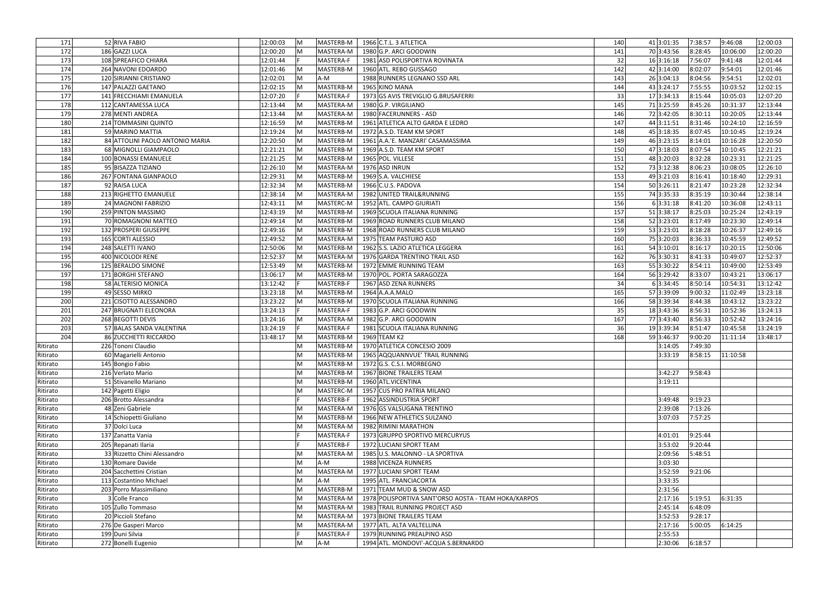| 171      | 52 RIVA FABIO                   | 12:00:03 | M   | MASTERB-M | 1966 C.T.L. 3 ATLETICA                               | 140 | 41 3:01:35 | 7:38:57 | 9:46:08  | 12:00:03 |
|----------|---------------------------------|----------|-----|-----------|------------------------------------------------------|-----|------------|---------|----------|----------|
| 172      | 186 GAZZI LUCA                  | 12:00:20 | M   | MASTERA-M | 1980 G.P. ARCI GOODWIN                               | 141 | 70 3:43:56 | 8:28:45 | 10:06:00 | 12:00:20 |
| 173      | 108 SPREAFICO CHIARA            | 12:01:44 |     | MASTERA-F | 1981 ASD POLISPORTIVA ROVINATA                       | 32  | 16 3:16:18 | 7:56:07 | 9:41:48  | 12:01:44 |
| 174      | 264 NAVONI EDOARDO              | 12:01:46 | M   | MASTERB-M | 1960 ATL. REBO GUSSAGO                               | 142 | 42 3:14:00 | 8:02:07 | 9:54:01  | 12:01:46 |
| 175      | 120 SIRIANNI CRISTIANO          | 12:02:01 | M   | A-M       | 1988 RUNNERS LEGNANO SSD ARL                         | 143 | 26 3:04:13 | 8:04:56 | 9:54:51  | 12:02:01 |
| 176      | 147 PALAZZI GAETANO             | 12:02:15 | lM. | MASTERB-M | 1965 KINO MANA                                       | 144 | 43 3:24:17 | 7:55:55 | 10:03:52 | 12:02:15 |
|          |                                 |          |     |           |                                                      |     |            |         |          |          |
| 177      | 141 FRECCHIAMI EMANUELA         | 12:07:20 |     | MASTERA-F | 1973 GS AVIS TREVIGLIO G.BRUSAFERRI                  | 33  | 17 3:34:13 | 8:15:44 | 10:05:03 | 12:07:20 |
| 178      | 112 CANTAMESSA LUCA             | 12:13:44 | M   | MASTERA-M | 1980 G.P. VIRGILIANO                                 | 145 | 713:25:59  | 8:45:26 | 10:31:37 | 12:13:44 |
| 179      | 278 MENTI ANDREA                | 12:13:44 | lM. | MASTERA-M | 1980 FACERUNNERS - ASD                               | 146 | 72 3:42:05 | 8:30:11 | 10:20:05 | 12:13:44 |
| 180      | 214 TOMMASINI QUINTO            | 12:16:59 | M   | MASTERB-M | 1961 ATLETICA ALTO GARDA E LEDRO                     | 147 | 44 3:11:51 | 8:31:46 | 10:24:10 | 12:16:59 |
| 181      | 59 MARINO MATTIA                | 12:19:24 | M   | MASTERB-M | 1972 A.S.D. TEAM KM SPORT                            | 148 | 45 3:18:35 | 8:07:45 | 10:10:45 | 12:19:24 |
| 182      | 84 ATTOLINI PAOLO ANTONIO MARIA | 12:20:50 | M   | MASTERB-M | 1961 A.A.'E. MANZARI' CASAMASSIMA                    | 149 | 46 3:23:15 | 8:14:01 | 10:16:28 | 12:20:50 |
| 183      | 68 MIGNOLLI GIAMPAOLO           | 12:21:21 | M   | MASTERB-M | 1969 A.S.D. TEAM KM SPORT                            | 150 | 47 3:18:03 | 8:07:54 | 10:10:45 | 12:21:21 |
| 184      | 100 BONASSI EMANUELE            | 12:21:25 | M   | MASTERB-M | 1965 POL. VILLESE                                    | 151 | 48 3:20:03 | 8:32:28 | 10:23:31 | 12:21:25 |
| 185      | 95 BISAZZA TIZIANO              | 12:26:10 | M   | MASTERA-M | 1976 ASD INRUN                                       | 152 | 73 3:12:38 | 8:06:23 | 10:08:05 | 12:26:10 |
| 186      | 267 FONTANA GIANPAOLO           | 12:29:31 | M   | MASTERB-M | 1969 S.A. VALCHIESE                                  | 153 | 49 3:21:03 | 8:16:41 | 10:18:40 | 12:29:31 |
| 187      | 92 RAISA LUCA                   | 12:32:34 | M   | MASTERB-M | 1966 C.U.S. PADOVA                                   | 154 | 50 3:26:11 | 8:21:47 | 10:23:28 | 12:32:34 |
| 188      | 213 RIGHETTO EMANUELE           | 12:38:14 | M   | MASTERA-M | 1982 UNITED TRAIL&RUNNING                            | 155 | 74 3:35:33 | 8:35:19 | 10:30:44 | 12:38:14 |
| 189      | 24 MAGNONI FABRIZIO             | 12:43:11 | M   | MASTERC-M | 1952 ATL. CAMPO GIURIATI                             | 156 | 6 3:31:18  | 8:41:20 | 10:36:08 | 12:43:11 |
| 190      | 259 PINTON MASSIMO              | 12:43:19 | M   | MASTERB-M | 1969 SCUOLA ITALIANA RUNNING                         | 157 | 51 3:38:17 | 8:25:03 | 10:25:24 | 12:43:19 |
| 191      | 70 ROMAGNONI MATTEO             | 12:49:14 | M   | MASTERB-M | 1969 ROAD RUNNERS CLUB MILANO                        | 158 | 52 3:23:01 | 8:17:49 | 10:23:30 | 12:49:14 |
| 192      | 132 PROSPERI GIUSEPPE           | 12:49:16 | M   | MASTERB-M | 1968 ROAD RUNNERS CLUB MILANO                        | 159 | 53 3:23:01 | 8:18:28 | 10:26:37 | 12:49:16 |
| 193      | 165 CORTI ALESSIO               | 12:49:52 | M   | MASTERA-M | 1975 TEAM PASTURO ASD                                | 160 | 75 3:20:03 | 8:36:33 | 10:45:59 | 12:49:52 |
| 194      | 248 SALETTI IVANO               | 12:50:06 | M   | MASTERB-M | 1962 S.S. LAZIO ATLETICA LEGGERA                     | 161 | 54 3:10:01 | 8:16:17 | 10:20:15 | 12:50:06 |
| 195      | 400 NICOLODI RENE               | 12:52:37 | M   | MASTERA-M | 1976 GARDA TRENTINO TRAIL ASD                        | 162 | 76 3:30:31 | 8:41:33 | 10:49:07 | 12:52:37 |
| 196      | 125 BERALDO SIMONE              | 12:53:49 | M   | MASTERB-M | 1972 EMME RUNNING TEAM                               | 163 | 55 3:30:22 | 8:54:11 | 10:49:00 | 12:53:49 |
| 197      | 171 BORGHI STEFANO              | 13:06:17 | M   | MASTERB-M | 1970 POL. PORTA SARAGOZZA                            | 164 | 56 3:29:42 | 8:33:07 | 10:43:21 | 13:06:17 |
| 198      | 58 ALTERISIO MONICA             | 13:12:42 |     | MASTERB-F | 1967 ASD ZENA RUNNERS                                | 34  | 6 3:34:45  | 8:50:14 | 10:54:31 | 13:12:42 |
| 199      | 49 SESSO MIRKO                  | 13:23:18 | M   | MASTERB-M | 1964 A.A.A.MALO                                      | 165 | 57 3:39:09 | 9:00:32 | 11:02:49 | 13:23:18 |
| 200      | 221 CISOTTO ALESSANDRO          | 13:23:22 | M   | MASTERB-M | 1970 SCUOLA ITALIANA RUNNING                         | 166 | 58 3:39:34 | 8:44:38 | 10:43:12 | 13:23:22 |
| 201      | 247 BRUGNATI ELEONORA           | 13:24:13 |     | MASTERA-F | 1983 G.P. ARCI GOODWIN                               | 35  | 18 3:43:36 | 8:56:31 | 10:52:36 | 13:24:13 |
| 202      | 268 BEGOTTI DEVIS               | 13:24:16 | M   | MASTERA-M | 1982 G.P. ARCI GOODWIN                               | 167 | 77 3:43:40 | 8:56:33 | 10:52:42 | 13:24:16 |
| 203      | 57 BALAS SANDA VALENTINA        | 13:24:19 |     | MASTERA-F | 1981 SCUOLA ITALIANA RUNNING                         | 36  | 193:39:34  | 8:51:47 | 10:45:58 | 13:24:19 |
| 204      | 86 ZUCCHETTI RICCARDO           | 13:48:17 | lM. | MASTERB-M | 1969 TEAM K2                                         | 168 | 59 3:46:37 | 9:00:20 | 11:11:14 | 13:48:17 |
| Ritirato | 226 Tononi Claudio              |          | M   |           | MASTERB-M   1970 ATLETICA CONCESIO 2009              |     | 3:14:05    | 7:49:30 |          |          |
| Ritirato | 60 Magarielli Antonio           |          | M   | MASTERB-M | 1965 AQQUANNVUE' TRAIL RUNNING                       |     | 3:33:19    | 8:58:15 | 11:10:58 |          |
| Ritirato | 145 Bongio Fabio                |          | M   | MASTERB-M | 1972 G.S. C.S.I. MORBEGNO                            |     |            |         |          |          |
| Ritirato | 216 Verlato Mario               |          | M   | MASTERB-M | 1967 BIONE TRAILERS TEAM                             |     | 3:42:27    | 9:58:43 |          |          |
| Ritirato | 51 Stivanello Mariano           |          | M   | MASTERB-M | 1960 ATL.VICENTINA                                   |     | 3:19:11    |         |          |          |
| Ritirato | 142 Pagetti Eligio              |          | M   | MASTERC-M | 1957 CUS PRO PATRIA MILANO                           |     |            |         |          |          |
| Ritirato | 206 Brotto Alessandra           |          |     | MASTERB-F | 1962 ASSINDUSTRIA SPORT                              |     | 3:49:48    | 9:19:23 |          |          |
| Ritirato | 48 Zeni Gabriele                |          | M   | MASTERA-M | 1976 GS VALSUGANA TRENTINO                           |     | 2:39:08    | 7:13:26 |          |          |
| Ritirato | 14 Schiopetti Giuliano          |          | M   | MASTERB-M | 1966 NEW ATHLETICS SULZANO                           |     | 3:07:03    | 7:57:25 |          |          |
| Ritirato | 37 Dolci Luca                   |          | M   | MASTERA-M | 1982 RIMINI MARATHON                                 |     |            |         |          |          |
| Ritirato | 137 Zanatta Vania               |          |     | MASTERA-F | 1973 GRUPPO SPORTIVO MERCURYUS                       |     | 4:01:01    | 9:25:44 |          |          |
| Ritirato | 205 Repanati Ilaria             |          |     | MASTERB-F | 1972 LUCIANI SPORT TEAM                              |     | 3:53:02    | 9:20:44 |          |          |
|          | 33 Rizzetto Chini Alessandro    |          | M   | MASTERA-M |                                                      |     | 2:09:56    | 5:48:51 |          |          |
| Ritirato |                                 |          |     |           | 1985 U.S. MALONNO - LA SPORTIVA                      |     |            |         |          |          |
| Ritirato | 130 Romare Davide               |          | M   | A-M       | 1988 VICENZA RUNNERS                                 |     | 3:03:30    |         |          |          |
| Ritirato | 204 Sacchettini Cristian        |          | M   | MASTERA-M | 1977 LUCIANI SPORT TEAM                              |     | 3:52:59    | 9:21:06 |          |          |
| Ritirato | 113 Costantino Michael          |          | M   | A-M       | 1995 ATL. FRANCIACORTA                               |     | 3:33:35    |         |          |          |
| Ritirato | 203 Porro Massimiliano          |          | M   | MASTERB-M | 1971 TEAM MUD & SNOW ASD                             |     | 2:31:56    |         |          |          |
| Ritirato | 3 Colle Franco                  |          | M   | MASTERA-M | 1978 POLISPORTIVA SANT'ORSO AOSTA - TEAM HOKA/KARPOS |     | 2:17:16    | 5:19:51 | 6:31:35  |          |
| Ritirato | 105 Zullo Tommaso               |          | M   | MASTERA-M | 1983 TRAIL RUNNING PROJECT ASD                       |     | 2:45:14    | 6:48:09 |          |          |
| Ritirato | 20 Piccioli Stefano             |          | M   | MASTERA-M | 1973 BIONE TRAILERS TEAM                             |     | 3:52:53    | 9:28:17 |          |          |
| Ritirato | 276 De Gasperi Marco            |          | M   | MASTERA-M | 1977 ATL. ALTA VALTELLINA                            |     | 2:17:16    | 5:00:05 | 6:14:25  |          |
| Ritirato | 199 Duni Silvia                 |          |     | MASTERA-F | 1979 RUNNING PREALPINO ASD                           |     | 2:55:53    |         |          |          |
| Ritirato | 272 Bonelli Eugenio             |          | M   | $A-M$     | 1994 ATL. MONDOVI'-ACQUA S.BERNARDO                  |     | 2:30:06    | 6:18:57 |          |          |